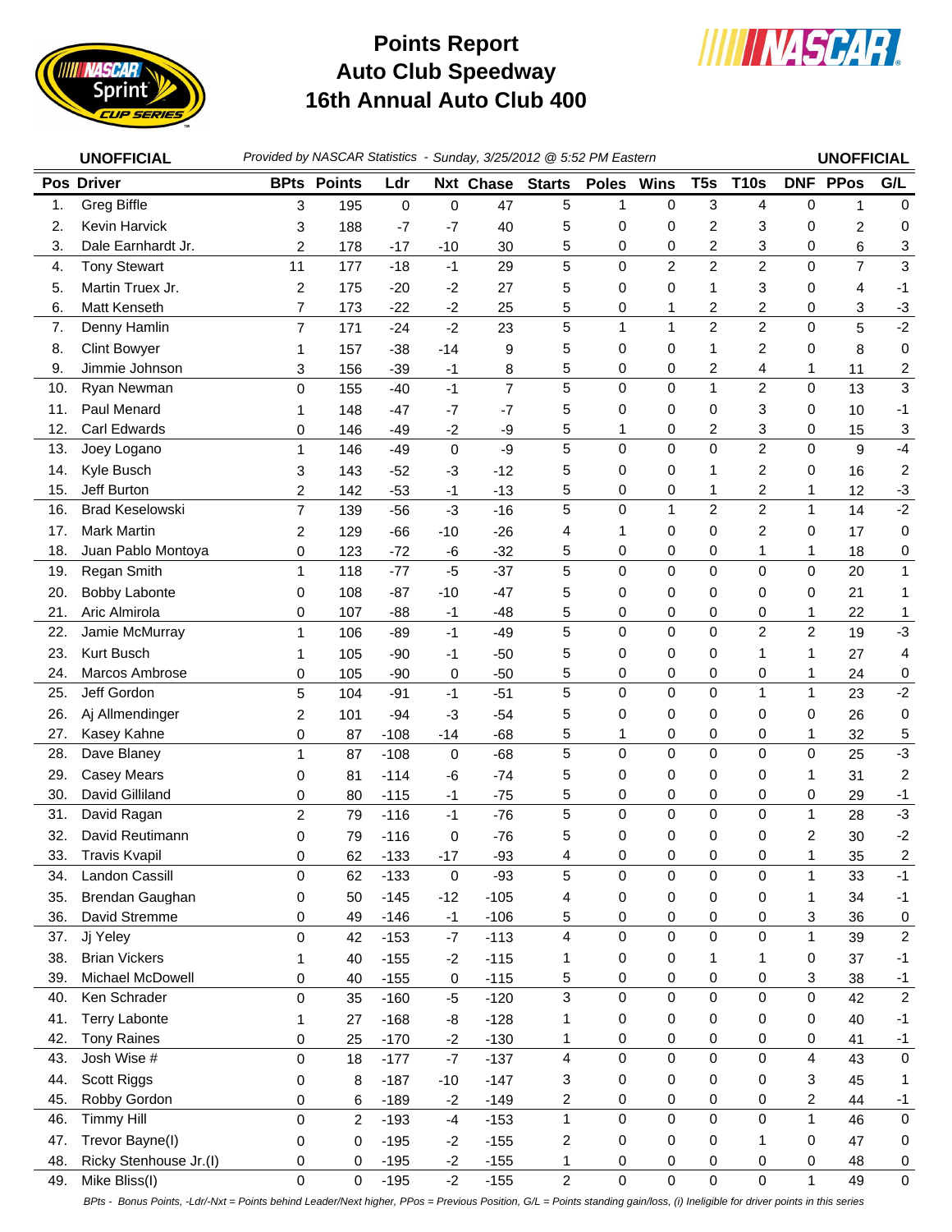

## **Auto Club Speedway 16th Annual Auto Club 400 Points Report**



|     | <b>UNOFFICIAL</b>      | Provided by NASCAR Statistics - Sunday, 3/25/2012 @ 5:52 PM Eastern |                    |             |             |                |                         |              |                |                 |                |                         | <b>UNOFFICIAL</b> |                |  |
|-----|------------------------|---------------------------------------------------------------------|--------------------|-------------|-------------|----------------|-------------------------|--------------|----------------|-----------------|----------------|-------------------------|-------------------|----------------|--|
|     | Pos Driver             |                                                                     | <b>BPts Points</b> | Ldr         |             | Nxt Chase      | <b>Starts</b>           | <b>Poles</b> | <b>Wins</b>    | T <sub>5s</sub> | <b>T10s</b>    |                         | <b>DNF PPos</b>   | G/L            |  |
| 1.  | <b>Greg Biffle</b>     | 3                                                                   | 195                | $\mathbf 0$ | $\mathbf 0$ | 47             | 5                       | $\mathbf{1}$ | $\mathbf 0$    | $\mathbf{3}$    | 4              | $\mathbf 0$             | $\mathbf{1}$      | $\mathbf 0$    |  |
| 2.  | <b>Kevin Harvick</b>   | 3                                                                   | 188                | $-7$        | $-7$        | 40             | 5                       | 0            | 0              | 2               | 3              | 0                       | 2                 | 0              |  |
| 3.  | Dale Earnhardt Jr.     | 2                                                                   | 178                | $-17$       | $-10$       | 30             | 5                       | 0            | 0              | $\overline{c}$  | 3              | 0                       | 6                 | 3              |  |
| 4.  | <b>Tony Stewart</b>    | 11                                                                  | 177                | $-18$       | $-1$        | 29             | 5                       | 0            | $\overline{2}$ | $\overline{2}$  | $\overline{2}$ | 0                       | $\overline{7}$    | $\mathfrak{Z}$ |  |
| 5.  | Martin Truex Jr.       | 2                                                                   | 175                | $-20$       | $-2$        | 27             | 5                       | 0            | 0              | 1               | 3              | 0                       | 4                 | $-1$           |  |
| 6.  | Matt Kenseth           | $\overline{7}$                                                      | 173                | $-22$       | $-2$        | 25             | 5                       | 0            | 1              | 2               | 2              | 0                       | 3                 | $-3$           |  |
| 7.  | Denny Hamlin           | 7                                                                   | 171                | $-24$       | $-2$        | 23             | 5                       | $\mathbf{1}$ | 1              | $\overline{2}$  | $\overline{2}$ | 0                       | 5                 | $-2$           |  |
| 8.  | <b>Clint Bowyer</b>    | 1                                                                   | 157                | $-38$       | $-14$       | 9              | 5                       | 0            | 0              | 1               | 2              | 0                       | 8                 | 0              |  |
| 9.  | Jimmie Johnson         | 3                                                                   | 156                | $-39$       | $-1$        | 8              | 5                       | 0            | 0              | 2               | 4              | 1                       | 11                | 2              |  |
| 10. | Ryan Newman            | 0                                                                   | 155                | $-40$       | $-1$        | $\overline{7}$ | 5                       | 0            | $\mathbf 0$    | $\mathbf{1}$    | $\overline{c}$ | $\mathbf 0$             | 13                | $\mathbf{3}$   |  |
| 11. | Paul Menard            | 1                                                                   | 148                | $-47$       | $-7$        | $-7$           | 5                       | 0            | 0              | 0               | 3              | 0                       | 10                | $-1$           |  |
| 12. | Carl Edwards           | 0                                                                   | 146                | $-49$       | $-2$        | -9             | 5                       | 1            | 0              | 2               | 3              | 0                       | 15                | 3              |  |
| 13. | Joey Logano            | 1                                                                   | 146                | $-49$       | $\mathbf 0$ | -9             | 5                       | $\mathbf 0$  | $\mathbf 0$    | 0               | $\overline{2}$ | $\Omega$                | 9                 | $-4$           |  |
| 14. | Kyle Busch             | 3                                                                   | 143                | $-52$       | -3          | $-12$          | 5                       | 0            | 0              | 1               | 2              | 0                       | 16                | $\overline{2}$ |  |
| 15. | Jeff Burton            | 2                                                                   | 142                | $-53$       | $-1$        | $-13$          | 5                       | 0            | 0              | 1               | 2              | 1                       | 12                | $-3$           |  |
| 16. | <b>Brad Keselowski</b> | $\overline{7}$                                                      | 139                | $-56$       | $-3$        | $-16$          | 5                       | $\mathbf 0$  | $\overline{1}$ | $\overline{c}$  | $\overline{2}$ | $\mathbf{1}$            | 14                | $-2$           |  |
| 17. | <b>Mark Martin</b>     | 2                                                                   | 129                | $-66$       | $-10$       | $-26$          | 4                       | 1            | 0              | 0               | $\overline{2}$ | 0                       | 17                | 0              |  |
| 18. | Juan Pablo Montoya     | 0                                                                   | 123                | $-72$       | $-6$        | $-32$          | 5                       | 0            | 0              | 0               | 1              | 1                       | 18                | 0              |  |
| 19. | Regan Smith            | 1                                                                   | 118                | $-77$       | $-5$        | $-37$          | 5                       | 0            | $\mathbf 0$    | 0               | 0              | 0                       | 20                | $\mathbf{1}$   |  |
| 20. | Bobby Labonte          | 0                                                                   | 108                | $-87$       | $-10$       | $-47$          | 5                       | 0            | 0              | 0               | 0              | 0                       | 21                | 1              |  |
| 21. | Aric Almirola          | 0                                                                   | 107                | $-88$       | $-1$        | $-48$          | 5                       | 0            | 0              | 0               | 0              | 1                       | 22                | $\mathbf{1}$   |  |
| 22. | Jamie McMurray         | 1                                                                   | 106                | $-89$       | $-1$        | $-49$          | 5                       | 0            | $\mathbf 0$    | 0               | $\overline{c}$ | $\overline{c}$          | 19                | $-3$           |  |
| 23. | Kurt Busch             | 1                                                                   | 105                | $-90$       | $-1$        | $-50$          | 5                       | 0            | 0              | 0               | 1              | 1                       | 27                | 4              |  |
| 24. | Marcos Ambrose         | 0                                                                   | 105                | $-90$       | 0           | $-50$          | 5                       | 0            | 0              | 0               | 0              | 1                       | 24                | $\pmb{0}$      |  |
| 25. | Jeff Gordon            | 5                                                                   | 104                | $-91$       | $-1$        | $-51$          | 5                       | 0            | $\mathbf 0$    | $\Omega$        | $\mathbf{1}$   | $\mathbf{1}$            | 23                | $-2$           |  |
| 26. | Aj Allmendinger        | 2                                                                   | 101                | $-94$       | $-3$        | $-54$          | 5                       | 0            | 0              | 0               | 0              | 0                       | 26                | 0              |  |
| 27. | Kasey Kahne            | 0                                                                   | 87                 | $-108$      | $-14$       | $-68$          | 5                       | 1            | 0              | 0               | 0              | 1                       | 32                | 5              |  |
| 28. | Dave Blaney            | 1                                                                   | 87                 | $-108$      | $\pmb{0}$   | $-68$          | $\overline{5}$          | 0            | $\mathbf 0$    | $\mathbf 0$     | $\mathbf 0$    | 0                       | 25                | $-3$           |  |
| 29. | <b>Casey Mears</b>     | 0                                                                   | 81                 | $-114$      | -6          | $-74$          | 5                       | 0            | 0              | 0               | 0              | 1                       | 31                | $\overline{c}$ |  |
| 30. | David Gilliland        | 0                                                                   | 80                 | $-115$      | $-1$        | $-75$          | 5                       | 0            | 0              | 0               | 0              | 0                       | 29                | $-1$           |  |
| 31. | David Ragan            | 2                                                                   | 79                 | $-116$      | $-1$        | $-76$          | 5                       | $\mathbf 0$  | $\mathbf 0$    | 0               | 0              | $\mathbf{1}$            | 28                | $-3$           |  |
| 32. | David Reutimann        | 0                                                                   | 79                 | $-116$      | 0           | $-76$          | 5                       | 0            | 0              | 0               | 0              | 2                       | 30                | $-2$           |  |
| 33. | <b>Travis Kvapil</b>   | 0                                                                   | 62                 | $-133$      | $-17$       | $-93$          | 4                       | 0            | 0              | 0               | 0              | 1                       | 35                | $\overline{c}$ |  |
| 34. | Landon Cassill         | $\Omega$                                                            | 62                 | $-133$      | $\mathbf 0$ | $-93$          | 5                       | 0            | $\mathbf 0$    | 0               | 0              | $\mathbf{1}$            | 33                | $-1$           |  |
| 35. | Brendan Gaughan        | 0                                                                   | 50                 | $-145$      | $-12$       | $-105$         | 4                       | 0            | 0              | 0               | 0              | 1                       | 34                | $-1$           |  |
| 36. | David Stremme          | 0                                                                   | 49                 | $-146$      | $-1$        | $-106$         | 5                       | 0            | 0              | 0               | 0              | 3                       | 36                | 0              |  |
| 37. | Jj Yeley               | $\mathbf 0$                                                         | 42                 | $-153$      | $-7$        | $-113$         | $\overline{\mathbf{4}}$ | 0            | $\pmb{0}$      | 0               | 0              | $\mathbf{1}$            | 39                | $\overline{2}$ |  |
| 38. | <b>Brian Vickers</b>   | 1                                                                   | 40                 | $-155$      | $-2$        | $-115$         | 1                       | 0            | 0              | 1               | 1              | 0                       | 37                | $-1$           |  |
| 39. | Michael McDowell       | 0                                                                   | 40                 | $-155$      | 0           | $-115$         | 5                       | 0            | 0              | 0               | 0              | 3                       | 38                | $-1$           |  |
| 40. | Ken Schrader           | $\Omega$                                                            | 35                 | $-160$      | $-5$        | $-120$         | $\overline{3}$          | 0            | $\mathsf 0$    | $\mathbf 0$     | $\mathbf 0$    | 0                       | 42                | $\overline{2}$ |  |
| 41. | <b>Terry Labonte</b>   | 1                                                                   | 27                 | $-168$      | -8          | $-128$         | 1                       | 0            | 0              | 0               | 0              | 0                       | 40                | $-1$           |  |
| 42. | <b>Tony Raines</b>     | 0                                                                   | 25                 | $-170$      | $-2$        | $-130$         | 1                       | 0            | 0              | 0               | 0              | 0                       | 41                | $-1$           |  |
| 43. | Josh Wise #            | $\mathbf 0$                                                         | 18                 | $-177$      | $-7$        | $-137$         | $\overline{\mathbf{4}}$ | 0            | $\pmb{0}$      | 0               | 0              | $\overline{\mathbf{4}}$ | 43                | $\pmb{0}$      |  |
| 44. | Scott Riggs            | 0                                                                   | 8                  | $-187$      | $-10$       | $-147$         | 3                       | 0            | 0              | 0               | 0              | 3                       | 45                | 1              |  |
| 45. | Robby Gordon           | 0                                                                   | 6                  | $-189$      | $-2$        | $-149$         | 2                       | 0            | 0              | 0               | 0              | $\overline{c}$          | 44                | $-1$           |  |
| 46. | <b>Timmy Hill</b>      | $\Omega$                                                            | $\overline{c}$     | $-193$      | $-4$        | $-153$         | $\mathbf{1}$            | 0            | $\mathbf 0$    | $\Omega$        | 0              | $\mathbf{1}$            | 46                | $\mathbf 0$    |  |
| 47. | Trevor Bayne(I)        | 0                                                                   | 0                  | $-195$      | $-2$        | $-155$         | 2                       | 0            | 0              | 0               | 1              | 0                       | 47                | 0              |  |
| 48. | Ricky Stenhouse Jr.(I) | 0                                                                   | 0                  | $-195$      | $-2$        | $-155$         | 1                       | 0            | 0              | 0               | 0              | 0                       | 48                | $\mathbf 0$    |  |
| 49. | Mike Bliss(I)          | $\pmb{0}$                                                           | 0                  | $-195$      | $-2$        | $-155$         | $\overline{2}$          | 0            | $\pmb{0}$      | $\mathsf 0$     | 0              | 1                       | 49                | $\pmb{0}$      |  |

*BPts - Bonus Points, -Ldr/-Nxt = Points behind Leader/Next higher, PPos = Previous Position, G/L = Points standing gain/loss, (i) Ineligible for driver points in this series*